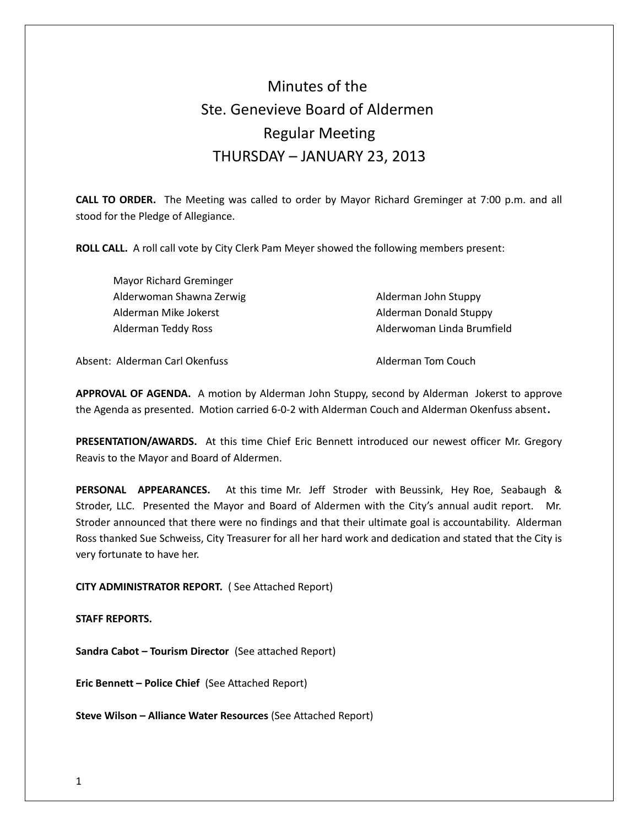# Minutes of the Ste. Genevieve Board of Aldermen Regular Meeting THURSDAY – JANUARY 23, 2013

**CALL TO ORDER.** The Meeting was called to order by Mayor Richard Greminger at 7:00 p.m. and all stood for the Pledge of Allegiance.

**ROLL CALL.** A roll call vote by City Clerk Pam Meyer showed the following members present:

| Mayor Richard Greminger  |                            |
|--------------------------|----------------------------|
| Alderwoman Shawna Zerwig | Alderman John Stuppy       |
| Alderman Mike Jokerst    | Alderman Donald Stuppy     |
| Alderman Teddy Ross      | Alderwoman Linda Brumfield |

Absent: Alderman Carl Okenfuss Alderman Tom Couch

**APPROVAL OF AGENDA.** A motion by Alderman John Stuppy, second by Alderman Jokerst to approve the Agenda as presented. Motion carried 6-0-2 with Alderman Couch and Alderman Okenfuss absent**.** 

**PRESENTATION/AWARDS.** At this time Chief Eric Bennett introduced our newest officer Mr. Gregory Reavis to the Mayor and Board of Aldermen.

**PERSONAL APPEARANCES.** At this time Mr. Jeff Stroder with Beussink, Hey Roe, Seabaugh & Stroder, LLC. Presented the Mayor and Board of Aldermen with the City's annual audit report. Mr. Stroder announced that there were no findings and that their ultimate goal is accountability. Alderman Ross thanked Sue Schweiss, City Treasurer for all her hard work and dedication and stated that the City is very fortunate to have her.

**CITY ADMINISTRATOR REPORT.** ( See Attached Report)

**STAFF REPORTS.** 

**Sandra Cabot – Tourism Director** (See attached Report)

**Eric Bennett – Police Chief** (See Attached Report)

**Steve Wilson – Alliance Water Resources** (See Attached Report)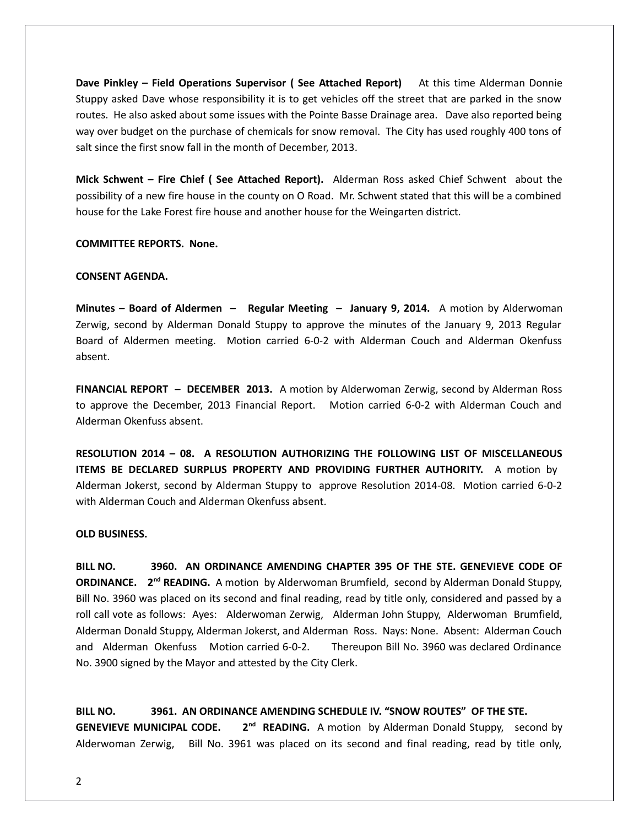**Dave Pinkley – Field Operations Supervisor ( See Attached Report)** At this time Alderman Donnie Stuppy asked Dave whose responsibility it is to get vehicles off the street that are parked in the snow routes. He also asked about some issues with the Pointe Basse Drainage area. Dave also reported being way over budget on the purchase of chemicals for snow removal. The City has used roughly 400 tons of salt since the first snow fall in the month of December, 2013.

**Mick Schwent – Fire Chief ( See Attached Report).** Alderman Ross asked Chief Schwent about the possibility of a new fire house in the county on O Road. Mr. Schwent stated that this will be a combined house for the Lake Forest fire house and another house for the Weingarten district.

# **COMMITTEE REPORTS. None.**

# **CONSENT AGENDA.**

**Minutes – Board of Aldermen – Regular Meeting – January 9, 2014.** A motion by Alderwoman Zerwig, second by Alderman Donald Stuppy to approve the minutes of the January 9, 2013 Regular Board of Aldermen meeting. Motion carried 6-0-2 with Alderman Couch and Alderman Okenfuss absent.

**FINANCIAL REPORT – DECEMBER 2013.** A motion by Alderwoman Zerwig, second by Alderman Ross to approve the December, 2013 Financial Report. Motion carried 6-0-2 with Alderman Couch and Alderman Okenfuss absent.

**RESOLUTION 2014 – 08. A RESOLUTION AUTHORIZING THE FOLLOWING LIST OF MISCELLANEOUS ITEMS BE DECLARED SURPLUS PROPERTY AND PROVIDING FURTHER AUTHORITY.** A motion by Alderman Jokerst, second by Alderman Stuppy to approve Resolution 2014-08. Motion carried 6-0-2 with Alderman Couch and Alderman Okenfuss absent.

# **OLD BUSINESS.**

**BILL NO. 3960. AN ORDINANCE AMENDING CHAPTER 395 OF THE STE. GENEVIEVE CODE OF ORDINANCE.** 2<sup>nd</sup> READING. A motion by Alderwoman Brumfield, second by Alderman Donald Stuppy, Bill No. 3960 was placed on its second and final reading, read by title only, considered and passed by a roll call vote as follows: Ayes: Alderwoman Zerwig, Alderman John Stuppy, Alderwoman Brumfield, Alderman Donald Stuppy, Alderman Jokerst, and Alderman Ross. Nays: None. Absent: Alderman Couch and Alderman Okenfuss Motion carried 6-0-2. Thereupon Bill No. 3960 was declared Ordinance No. 3900 signed by the Mayor and attested by the City Clerk.

**BILL NO. 3961. AN ORDINANCE AMENDING SCHEDULE IV. "SNOW ROUTES" OF THE STE. GENEVIEVE MUNICIPAL CODE.** 2<sup>nd</sup> READING. A motion by Alderman Donald Stuppy, second by Alderwoman Zerwig, Bill No. 3961 was placed on its second and final reading, read by title only,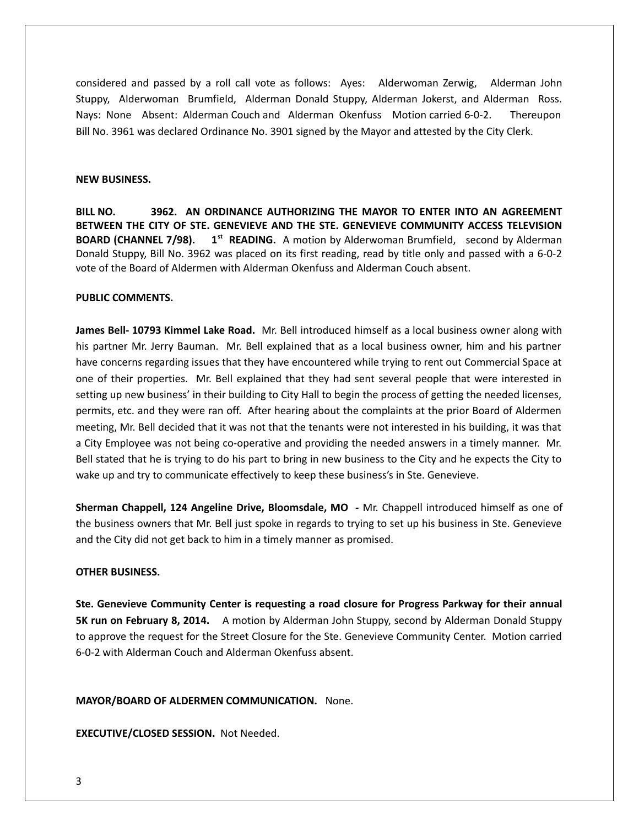considered and passed by a roll call vote as follows: Ayes: Alderwoman Zerwig, Alderman John Stuppy, Alderwoman Brumfield, Alderman Donald Stuppy, Alderman Jokerst, and Alderman Ross. Nays: None Absent: Alderman Couch and Alderman Okenfuss Motion carried 6-0-2. Thereupon Bill No. 3961 was declared Ordinance No. 3901 signed by the Mayor and attested by the City Clerk.

#### **NEW BUSINESS.**

**BILL NO. 3962. AN ORDINANCE AUTHORIZING THE MAYOR TO ENTER INTO AN AGREEMENT BETWEEN THE CITY OF STE. GENEVIEVE AND THE STE. GENEVIEVE COMMUNITY ACCESS TELEVISION BOARD (CHANNEL 7/98). 1st READING.** A motion by Alderwoman Brumfield, second by Alderman Donald Stuppy, Bill No. 3962 was placed on its first reading, read by title only and passed with a 6-0-2 vote of the Board of Aldermen with Alderman Okenfuss and Alderman Couch absent.

# **PUBLIC COMMENTS.**

**James Bell- 10793 Kimmel Lake Road.** Mr. Bell introduced himself as a local business owner along with his partner Mr. Jerry Bauman. Mr. Bell explained that as a local business owner, him and his partner have concerns regarding issues that they have encountered while trying to rent out Commercial Space at one of their properties. Mr. Bell explained that they had sent several people that were interested in setting up new business' in their building to City Hall to begin the process of getting the needed licenses, permits, etc. and they were ran off. After hearing about the complaints at the prior Board of Aldermen meeting, Mr. Bell decided that it was not that the tenants were not interested in his building, it was that a City Employee was not being co-operative and providing the needed answers in a timely manner. Mr. Bell stated that he is trying to do his part to bring in new business to the City and he expects the City to wake up and try to communicate effectively to keep these business's in Ste. Genevieve.

**Sherman Chappell, 124 Angeline Drive, Bloomsdale, MO -** Mr. Chappell introduced himself as one of the business owners that Mr. Bell just spoke in regards to trying to set up his business in Ste. Genevieve and the City did not get back to him in a timely manner as promised.

# **OTHER BUSINESS.**

**Ste. Genevieve Community Center is requesting a road closure for Progress Parkway for their annual 5K run on February 8, 2014.** A motion by Alderman John Stuppy, second by Alderman Donald Stuppy to approve the request for the Street Closure for the Ste. Genevieve Community Center. Motion carried 6-0-2 with Alderman Couch and Alderman Okenfuss absent.

# **MAYOR/BOARD OF ALDERMEN COMMUNICATION.** None.

**EXECUTIVE/CLOSED SESSION.** Not Needed.